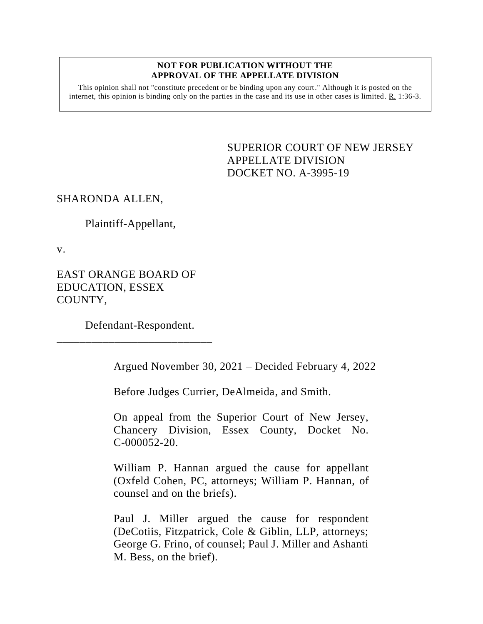#### **NOT FOR PUBLICATION WITHOUT THE APPROVAL OF THE APPELLATE DIVISION**

This opinion shall not "constitute precedent or be binding upon any court." Although it is posted on the internet, this opinion is binding only on the parties in the case and its use in other cases is limited.  $R_1$  1:36-3.

> <span id="page-0-0"></span>SUPERIOR COURT OF NEW JERSEY APPELLATE DIVISION DOCKET NO. A-3995-19

# SHARONDA ALLEN,

Plaintiff-Appellant,

v.

EAST ORANGE BOARD OF EDUCATION, ESSEX COUNTY,

Defendant-Respondent.

\_\_\_\_\_\_\_\_\_\_\_\_\_\_\_\_\_\_\_\_\_\_\_\_\_\_\_

Argued November 30, 2021 – Decided February 4, 2022

Before Judges Currier, DeAlmeida, and Smith.

On appeal from the Superior Court of New Jersey, Chancery Division, Essex County, Docket No. C-000052-20.

William P. Hannan argued the cause for appellant (Oxfeld Cohen, PC, attorneys; William P. Hannan, of counsel and on the briefs).

Paul J. Miller argued the cause for respondent (DeCotiis, Fitzpatrick, Cole & Giblin, LLP, attorneys; George G. Frino, of counsel; Paul J. Miller and Ashanti M. Bess, on the brief).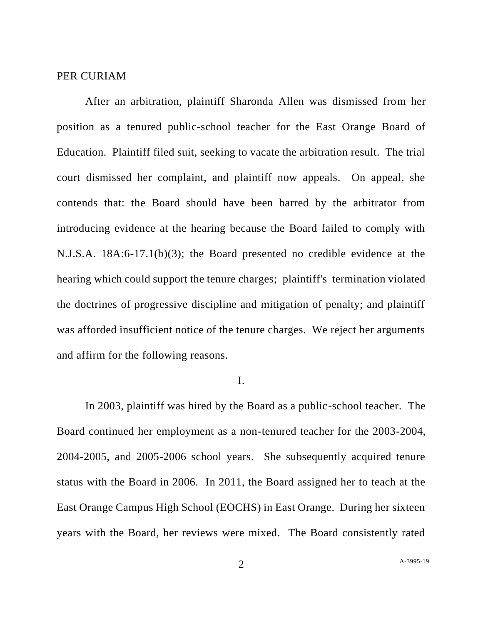## PER CURIAM

After an arbitration, plaintiff Sharonda Allen was dismissed from her position as a tenured public-school teacher for the East Orange Board of Education. Plaintiff filed suit, seeking to vacate the arbitration result. The trial court dismissed her complaint, and plaintiff now appeals. On appeal, she contends that: the Board should have been barred by the arbitrator from introducing evidence at the hearing because the Board failed to comply with N.J.S.A. 18A:6-17.1(b)(3); the Board presented no credible evidence at the hearing which could support the tenure charges; plaintiff's termination violated the doctrines of progressive discipline and mitigation of penalty; and plaintiff was afforded insufficient notice of the tenure charges. We reject her arguments and affirm for the following reasons.

#### I.

In 2003, plaintiff was hired by the Board as a public-school teacher. The Board continued her employment as a non-tenured teacher for the 2003-2004, 2004-2005, and 2005-2006 school years. She subsequently acquired tenure status with the Board in 2006. In 2011, the Board assigned her to teach at the East Orange Campus High School (EOCHS) in East Orange. During her sixteen years with the Board, her reviews were mixed. The Board consistently rated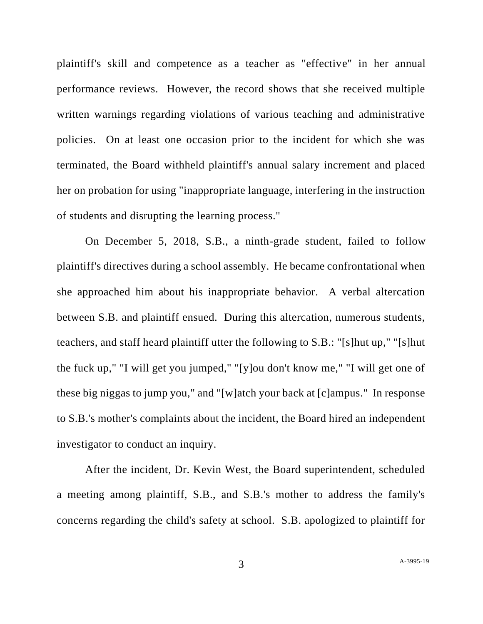plaintiff's skill and competence as a teacher as "effective" in her annual performance reviews. However, the record shows that she received multiple written warnings regarding violations of various teaching and administrative policies. On at least one occasion prior to the incident for which she was terminated, the Board withheld plaintiff's annual salary increment and placed her on probation for using "inappropriate language, interfering in the instruction of students and disrupting the learning process."

On December 5, 2018, S.B., a ninth-grade student, failed to follow plaintiff's directives during a school assembly. He became confrontational when she approached him about his inappropriate behavior. A verbal altercation between S.B. and plaintiff ensued. During this altercation, numerous students, teachers, and staff heard plaintiff utter the following to S.B.: "[s]hut up," "[s]hut the fuck up," "I will get you jumped," "[y]ou don't know me," "I will get one of these big niggas to jump you," and "[w]atch your back at [c]ampus." In response to S.B.'s mother's complaints about the incident, the Board hired an independent investigator to conduct an inquiry.

After the incident, Dr. Kevin West, the Board superintendent, scheduled a meeting among plaintiff, S.B., and S.B.'s mother to address the family's concerns regarding the child's safety at school. S.B. apologized to plaintiff for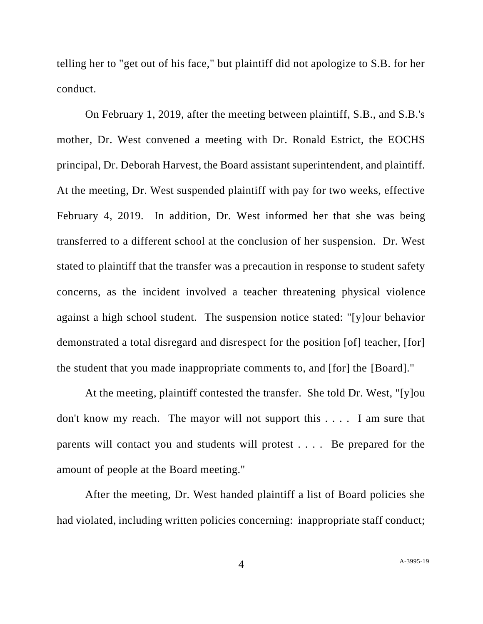telling her to "get out of his face," but plaintiff did not apologize to S.B. for her conduct.

On February 1, 2019, after the meeting between plaintiff, S.B., and S.B.'s mother, Dr. West convened a meeting with Dr. Ronald Estrict, the EOCHS principal, Dr. Deborah Harvest, the Board assistant superintendent, and plaintiff. At the meeting, Dr. West suspended plaintiff with pay for two weeks, effective February 4, 2019. In addition, Dr. West informed her that she was being transferred to a different school at the conclusion of her suspension. Dr. West stated to plaintiff that the transfer was a precaution in response to student safety concerns, as the incident involved a teacher threatening physical violence against a high school student. The suspension notice stated: "[y]our behavior demonstrated a total disregard and disrespect for the position [of] teacher, [for] the student that you made inappropriate comments to, and [for] the [Board]."

At the meeting, plaintiff contested the transfer. She told Dr. West, "[y]ou don't know my reach. The mayor will not support this . . . . I am sure that parents will contact you and students will protest . . . . Be prepared for the amount of people at the Board meeting."

After the meeting, Dr. West handed plaintiff a list of Board policies she had violated, including written policies concerning: inappropriate staff conduct;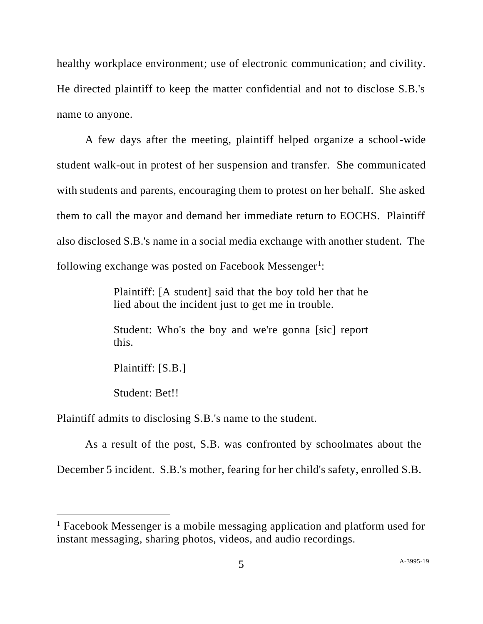healthy workplace environment; use of electronic communication; and civility. He directed plaintiff to keep the matter confidential and not to disclose S.B.'s name to anyone.

A few days after the meeting, plaintiff helped organize a school-wide student walk-out in protest of her suspension and transfer. She communicated with students and parents, encouraging them to protest on her behalf. She asked them to call the mayor and demand her immediate return to EOCHS. Plaintiff also disclosed S.B.'s name in a social media exchange with another student. The following exchange was posted on Facebook Messenger<sup>1</sup>:

> Plaintiff: [A student] said that the boy told her that he lied about the incident just to get me in trouble.

> Student: Who's the boy and we're gonna [sic] report this.

Plaintiff: [S.B.]

Student: Bet!!

Plaintiff admits to disclosing S.B.'s name to the student.

As a result of the post, S.B. was confronted by schoolmates about the December 5 incident. S.B.'s mother, fearing for her child's safety, enrolled S.B.

<sup>&</sup>lt;sup>1</sup> Facebook Messenger is a mobile messaging application and platform used for instant messaging, sharing photos, videos, and audio recordings.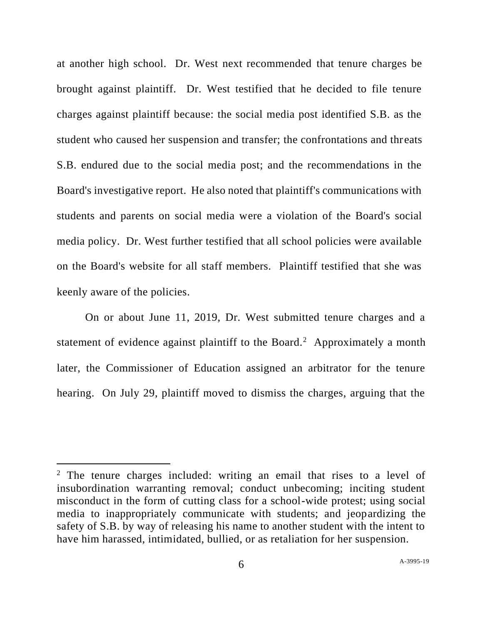at another high school. Dr. West next recommended that tenure charges be brought against plaintiff. Dr. West testified that he decided to file tenure charges against plaintiff because: the social media post identified S.B. as the student who caused her suspension and transfer; the confrontations and threats S.B. endured due to the social media post; and the recommendations in the Board's investigative report. He also noted that plaintiff's communications with students and parents on social media were a violation of the Board's social media policy. Dr. West further testified that all school policies were available on the Board's website for all staff members. Plaintiff testified that she was keenly aware of the policies.

On or about June 11, 2019, Dr. West submitted tenure charges and a statement of evidence against plaintiff to the Board.<sup>2</sup> Approximately a month later, the Commissioner of Education assigned an arbitrator for the tenure hearing. On July 29, plaintiff moved to dismiss the charges, arguing that the

<sup>&</sup>lt;sup>2</sup> The tenure charges included: writing an email that rises to a level of insubordination warranting removal; conduct unbecoming; inciting student misconduct in the form of cutting class for a school-wide protest; using social media to inappropriately communicate with students; and jeopardizing the safety of S.B. by way of releasing his name to another student with the intent to have him harassed, intimidated, bullied, or as retaliation for her suspension.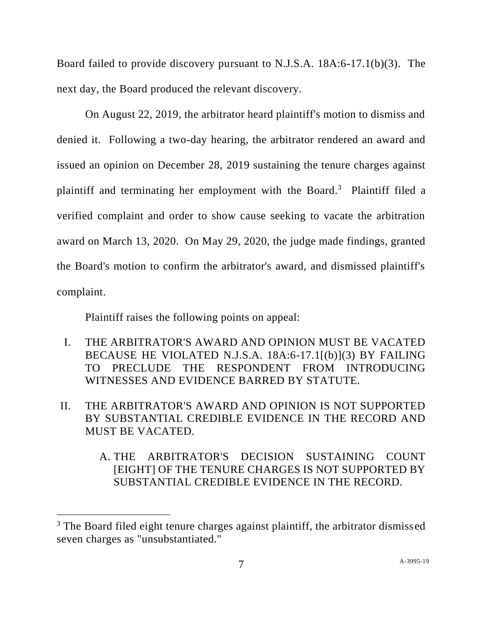Board failed to provide discovery pursuant to N.J.S.A. 18A:6-17.1(b)(3). The next day, the Board produced the relevant discovery.

On August 22, 2019, the arbitrator heard plaintiff's motion to dismiss and denied it. Following a two-day hearing, the arbitrator rendered an award and issued an opinion on December 28, 2019 sustaining the tenure charges against plaintiff and terminating her employment with the Board.<sup>3</sup> Plaintiff filed a verified complaint and order to show cause seeking to vacate the arbitration award on March 13, 2020. On May 29, 2020, the judge made findings, granted the Board's motion to confirm the arbitrator's award, and dismissed plaintiff's complaint.

Plaintiff raises the following points on appeal:

- I. THE ARBITRATOR'S AWARD AND OPINION MUST BE VACATED BECAUSE HE VIOLATED N.J.S.A. 18A:6-17.1[(b)](3) BY FAILING TO PRECLUDE THE RESPONDENT FROM INTRODUCING WITNESSES AND EVIDENCE BARRED BY STATUTE.
- II. THE ARBITRATOR'S AWARD AND OPINION IS NOT SUPPORTED BY SUBSTANTIAL CREDIBLE EVIDENCE IN THE RECORD AND MUST BE VACATED.
	- A. THE ARBITRATOR'S DECISION SUSTAINING COUNT [EIGHT] OF THE TENURE CHARGES IS NOT SUPPORTED BY SUBSTANTIAL CREDIBLE EVIDENCE IN THE RECORD.

<sup>&</sup>lt;sup>3</sup> The Board filed eight tenure charges against plaintiff, the arbitrator dismissed seven charges as "unsubstantiated."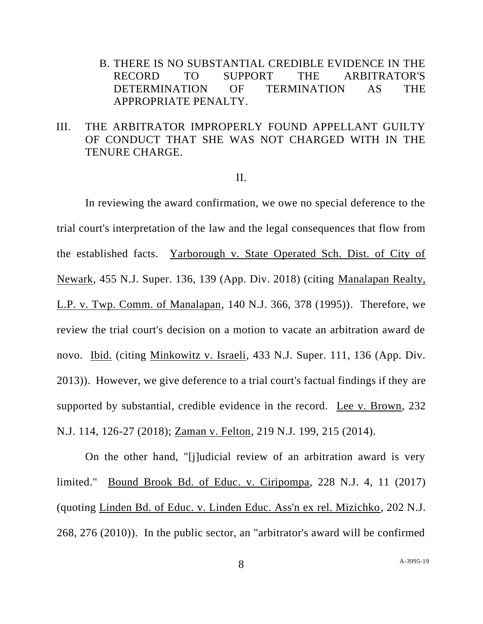B. THERE IS NO SUBSTANTIAL CREDIBLE EVIDENCE IN THE RECORD TO SUPPORT THE ARBITRATOR'S DETERMINATION OF TERMINATION AS THE APPROPRIATE PENALTY.

# III. THE ARBITRATOR IMPROPERLY FOUND APPELLANT GUILTY OF CONDUCT THAT SHE WAS NOT CHARGED WITH IN THE TENURE CHARGE.

#### II.

In reviewing the award confirmation, we owe no special deference to the trial court's interpretation of the law and the legal consequences that flow from the established facts. Yarborough v. State Operated Sch. Dist. of City of Newark, 455 N.J. Super. 136, 139 (App. Div. 2018) (citing Manalapan Realty, L.P. v. Twp. Comm. of Manalapan, 140 N.J. 366, 378 (1995)). Therefore, we review the trial court's decision on a motion to vacate an arbitration award de novo. Ibid. (citing Minkowitz v. Israeli, 433 N.J. Super. 111, 136 (App. Div. 2013)). However, we give deference to a trial court's factual findings if they are supported by substantial, credible evidence in the record. Lee v. Brown, 232 N.J. 114, 126-27 (2018); Zaman v. Felton, 219 N.J. 199, 215 (2014).

On the other hand, "[j]udicial review of an arbitration award is very limited." Bound Brook Bd. of Educ. v. Ciripompa, 228 N.J. 4, 11 (2017) (quoting Linden Bd. of Educ. v. Linden Educ. Ass'n ex rel. Mizichko, 202 N.J. 268, 276 (2010)). In the public sector, an "arbitrator's award will be confirmed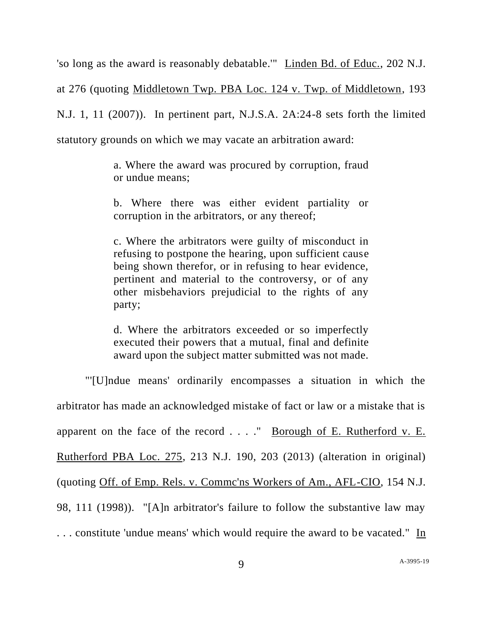'so long as the award is reasonably debatable.'" Linden Bd. of Educ., 202 N.J. at 276 (quoting Middletown Twp. PBA Loc. 124 v. Twp. of Middletown, 193 N.J. 1, 11 (2007)). In pertinent part, N.J.S.A. 2A:24-8 sets forth the limited statutory grounds on which we may vacate an arbitration award:

> a. Where the award was procured by corruption, fraud or undue means;

> b. Where there was either evident partiality or corruption in the arbitrators, or any thereof;

> c. Where the arbitrators were guilty of misconduct in refusing to postpone the hearing, upon sufficient cause being shown therefor, or in refusing to hear evidence, pertinent and material to the controversy, or of any other misbehaviors prejudicial to the rights of any party;

> d. Where the arbitrators exceeded or so imperfectly executed their powers that a mutual, final and definite award upon the subject matter submitted was not made.

"'[U]ndue means' ordinarily encompasses a situation in which the arbitrator has made an acknowledged mistake of fact or law or a mistake that is apparent on the face of the record . . . ." Borough of E. Rutherford v. E. Rutherford PBA Loc. 275, 213 N.J. 190, 203 (2013) (alteration in original) (quoting Off. of Emp. Rels. v. Commc'ns Workers of Am., AFL-CIO, 154 N.J. 98, 111 (1998)). "[A]n arbitrator's failure to follow the substantive law may . . . constitute 'undue means' which would require the award to be vacated." In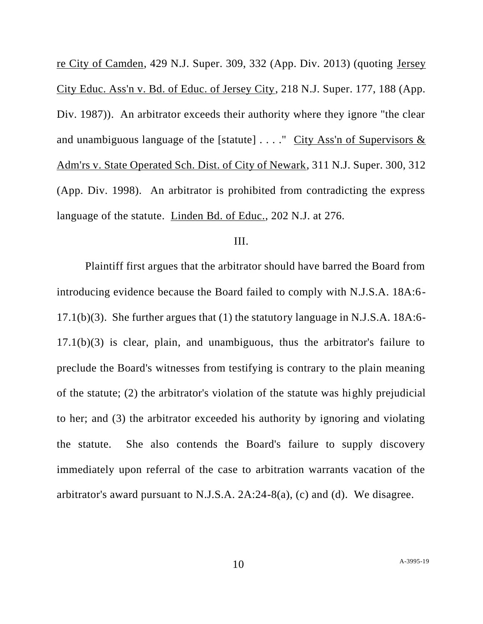re City of Camden, 429 N.J. Super. 309, 332 (App. Div. 2013) (quoting Jersey City Educ. Ass'n v. Bd. of Educ. of Jersey City, 218 N.J. Super. 177, 188 (App. Div. 1987)). An arbitrator exceeds their authority where they ignore "the clear and unambiguous language of the [statute] . . . ." City Ass'n of Supervisors & Adm'rs v. State Operated Sch. Dist. of City of Newark, 311 N.J. Super. 300, 312 (App. Div. 1998). An arbitrator is prohibited from contradicting the express language of the statute. Linden Bd. of Educ., 202 N.J. at 276.

## III.

Plaintiff first argues that the arbitrator should have barred the Board from introducing evidence because the Board failed to comply with N.J.S.A. 18A:6- 17.1(b)(3). She further argues that (1) the statutory language in N.J.S.A. 18A:6- 17.1(b)(3) is clear, plain, and unambiguous, thus the arbitrator's failure to preclude the Board's witnesses from testifying is contrary to the plain meaning of the statute; (2) the arbitrator's violation of the statute was highly prejudicial to her; and (3) the arbitrator exceeded his authority by ignoring and violating the statute. She also contends the Board's failure to supply discovery immediately upon referral of the case to arbitration warrants vacation of the arbitrator's award pursuant to N.J.S.A. 2A:24-8(a), (c) and (d). We disagree.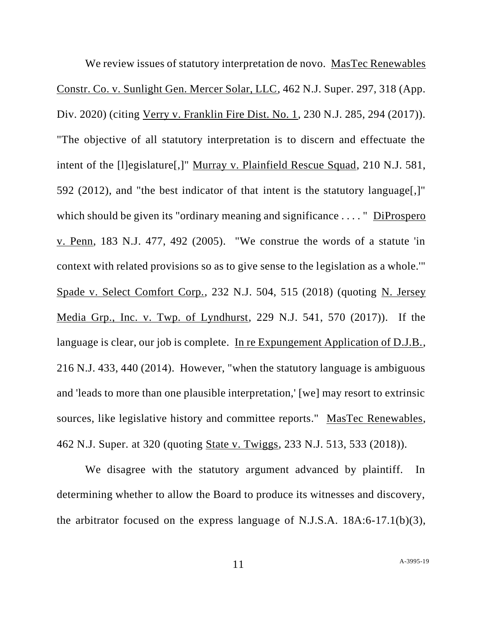We review issues of statutory interpretation de novo. MasTec Renewables Constr. Co. v. Sunlight Gen. Mercer Solar, LLC, 462 N.J. Super. 297, 318 (App. Div. 2020) (citing Verry v. Franklin Fire Dist. No. 1, 230 N.J. 285, 294 (2017)). "The objective of all statutory interpretation is to discern and effectuate the intent of the [l]egislature[,]" Murray v. Plainfield Rescue Squad, 210 N.J. 581, 592 (2012), and "the best indicator of that intent is the statutory language[,]" which should be given its "ordinary meaning and significance ...." DiProspero v. Penn, 183 N.J. 477, 492 (2005). "We construe the words of a statute 'in context with related provisions so as to give sense to the legislation as a whole.'" Spade v. Select Comfort Corp., 232 N.J. 504, 515 (2018) (quoting N. Jersey Media Grp., Inc. v. Twp. of Lyndhurst, 229 N.J. 541, 570 (2017)). If the language is clear, our job is complete. In re Expungement Application of D.J.B., 216 N.J. 433, 440 (2014). However, "when the statutory language is ambiguous and 'leads to more than one plausible interpretation,' [we] may resort to extrinsic sources, like legislative history and committee reports." MasTec Renewables, 462 N.J. Super. at 320 (quoting State v. Twiggs, 233 N.J. 513, 533 (2018)).

We disagree with the statutory argument advanced by plaintiff. In determining whether to allow the Board to produce its witnesses and discovery, the arbitrator focused on the express language of N.J.S.A. 18A:6-17.1(b)(3),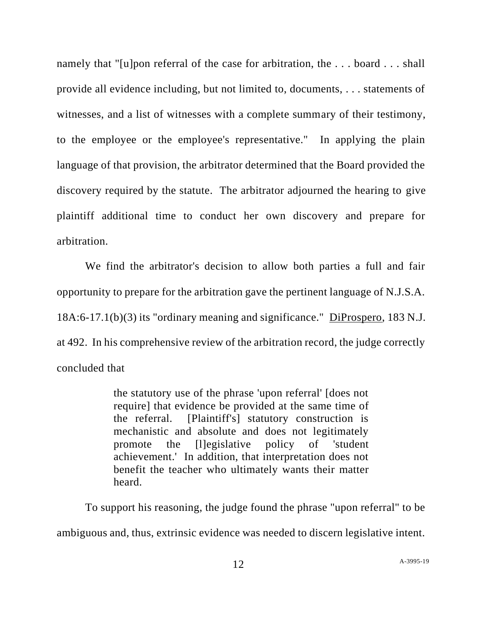namely that "[u]pon referral of the case for arbitration, the ... board ... shall provide all evidence including, but not limited to, documents, . . . statements of witnesses, and a list of witnesses with a complete summary of their testimony, to the employee or the employee's representative." In applying the plain language of that provision, the arbitrator determined that the Board provided the discovery required by the statute. The arbitrator adjourned the hearing to give plaintiff additional time to conduct her own discovery and prepare for arbitration.

We find the arbitrator's decision to allow both parties a full and fair opportunity to prepare for the arbitration gave the pertinent language of N.J.S.A. 18A:6-17.1(b)(3) its "ordinary meaning and significance." DiProspero, 183 N.J. at 492. In his comprehensive review of the arbitration record, the judge correctly concluded that

> the statutory use of the phrase 'upon referral' [does not require] that evidence be provided at the same time of the referral. [Plaintiff's] statutory construction is mechanistic and absolute and does not legitimately promote the [l]egislative policy of 'student achievement.' In addition, that interpretation does not benefit the teacher who ultimately wants their matter heard.

To support his reasoning, the judge found the phrase "upon referral" to be ambiguous and, thus, extrinsic evidence was needed to discern legislative intent.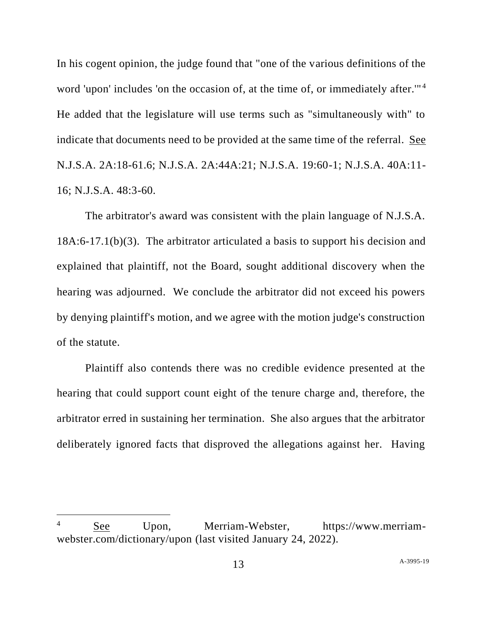In his cogent opinion, the judge found that "one of the various definitions of the word 'upon' includes 'on the occasion of, at the time of, or immediately after."<sup>4</sup> He added that the legislature will use terms such as "simultaneously with" to indicate that documents need to be provided at the same time of the referral. See N.J.S.A. 2A:18-61.6; N.J.S.A. 2A:44A:21; N.J.S.A. 19:60-1; N.J.S.A. 40A:11- 16; N.J.S.A. 48:3-60.

The arbitrator's award was consistent with the plain language of N.J.S.A. 18A:6-17.1(b)(3). The arbitrator articulated a basis to support his decision and explained that plaintiff, not the Board, sought additional discovery when the hearing was adjourned. We conclude the arbitrator did not exceed his powers by denying plaintiff's motion, and we agree with the motion judge's construction of the statute.

Plaintiff also contends there was no credible evidence presented at the hearing that could support count eight of the tenure charge and, therefore, the arbitrator erred in sustaining her termination. She also argues that the arbitrator deliberately ignored facts that disproved the allegations against her. Having

<sup>4</sup> See Upon, Merriam-Webster, https://www.merriamwebster.com/dictionary/upon (last visited January 24, 2022).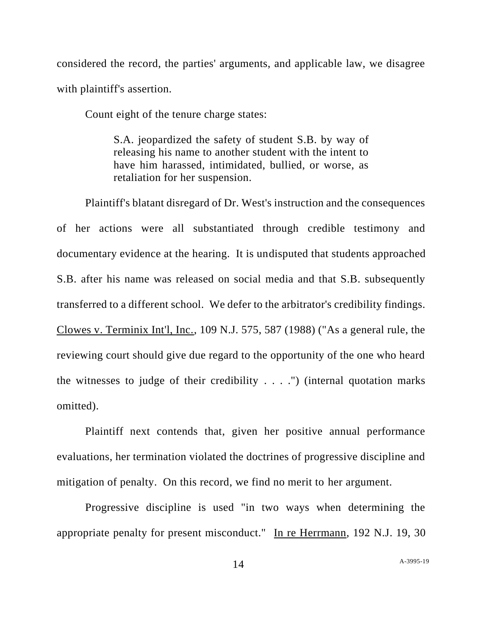considered the record, the parties' arguments, and applicable law, we disagree with plaintiff's assertion.

Count eight of the tenure charge states:

S.A. jeopardized the safety of student S.B. by way of releasing his name to another student with the intent to have him harassed, intimidated, bullied, or worse, as retaliation for her suspension.

Plaintiff's blatant disregard of Dr. West's instruction and the consequences of her actions were all substantiated through credible testimony and documentary evidence at the hearing. It is undisputed that students approached S.B. after his name was released on social media and that S.B. subsequently transferred to a different school. We defer to the arbitrator's credibility findings. Clowes v. Terminix Int'l, Inc., 109 N.J. 575, 587 (1988) ("As a general rule, the reviewing court should give due regard to the opportunity of the one who heard the witnesses to judge of their credibility  $\dots$ .") (internal quotation marks omitted).

Plaintiff next contends that, given her positive annual performance evaluations, her termination violated the doctrines of progressive discipline and mitigation of penalty. On this record, we find no merit to her argument.

Progressive discipline is used "in two ways when determining the appropriate penalty for present misconduct." In re Herrmann, 192 N.J. 19, 30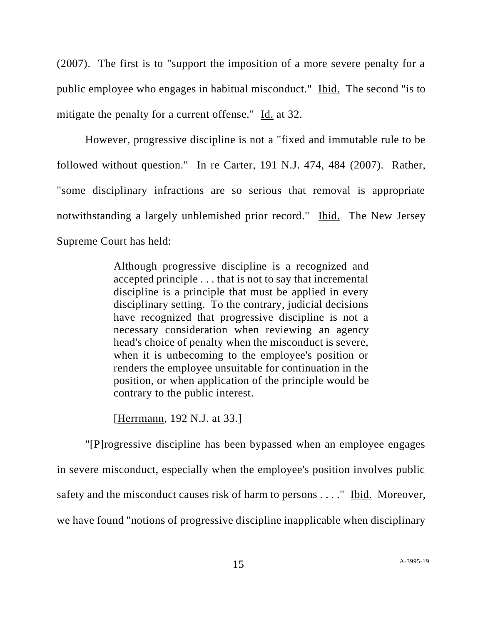(2007). The first is to "support the imposition of a more severe penalty for a public employee who engages in habitual misconduct." Ibid. The second "is to mitigate the penalty for a current offense." Id. at 32.

However, progressive discipline is not a "fixed and immutable rule to be followed without question." In re Carter, 191 N.J. 474, 484 (2007). Rather, "some disciplinary infractions are so serious that removal is appropriate notwithstanding a largely unblemished prior record." Ibid. The New Jersey Supreme Court has held:

> Although progressive discipline is a recognized and accepted principle . . . that is not to say that incremental discipline is a principle that must be applied in every disciplinary setting. To the contrary, judicial decisions have recognized that progressive discipline is not a necessary consideration when reviewing an agency head's choice of penalty when the misconduct is severe, when it is unbecoming to the employee's position or renders the employee unsuitable for continuation in the position, or when application of the principle would be contrary to the public interest.

[Herrmann, 192 N.J. at 33.]

"[P]rogressive discipline has been bypassed when an employee engages in severe misconduct, especially when the employee's position involves public safety and the misconduct causes risk of harm to persons . . . ." Ibid. Moreover, we have found "notions of progressive discipline inapplicable when disciplinary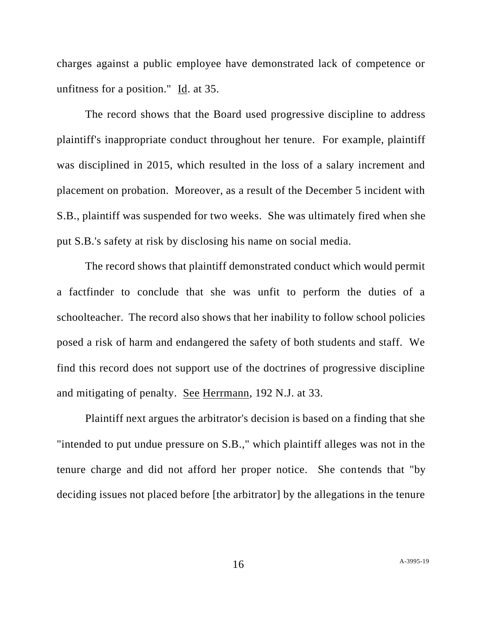charges against a public employee have demonstrated lack of competence or unfitness for a position." Id. at 35.

The record shows that the Board used progressive discipline to address plaintiff's inappropriate conduct throughout her tenure. For example, plaintiff was disciplined in 2015, which resulted in the loss of a salary increment and placement on probation. Moreover, as a result of the December 5 incident with S.B., plaintiff was suspended for two weeks. She was ultimately fired when she put S.B.'s safety at risk by disclosing his name on social media.

The record shows that plaintiff demonstrated conduct which would permit a factfinder to conclude that she was unfit to perform the duties of a schoolteacher. The record also shows that her inability to follow school policies posed a risk of harm and endangered the safety of both students and staff. We find this record does not support use of the doctrines of progressive discipline and mitigating of penalty. See Herrmann, 192 N.J. at 33.

Plaintiff next argues the arbitrator's decision is based on a finding that she "intended to put undue pressure on S.B.," which plaintiff alleges was not in the tenure charge and did not afford her proper notice. She contends that "by deciding issues not placed before [the arbitrator] by the allegations in the tenure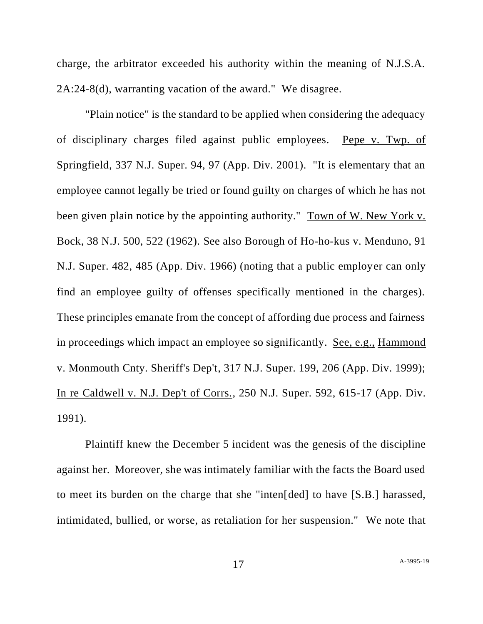charge, the arbitrator exceeded his authority within the meaning of N.J.S.A. 2A:24-8(d), warranting vacation of the award." We disagree.

"Plain notice" is the standard to be applied when considering the adequacy of disciplinary charges filed against public employees. Pepe v. Twp. of Springfield, 337 N.J. Super. 94, 97 (App. Div. 2001). "It is elementary that an employee cannot legally be tried or found guilty on charges of which he has not been given plain notice by the appointing authority." Town of W. New York v. Bock, 38 N.J. 500, 522 (1962). See also Borough of Ho-ho-kus v. Menduno, 91 N.J. Super. 482, 485 (App. Div. 1966) (noting that a public employer can only find an employee guilty of offenses specifically mentioned in the charges). These principles emanate from the concept of affording due process and fairness in proceedings which impact an employee so significantly. See, e.g., Hammond v. Monmouth Cnty. Sheriff's Dep't, 317 N.J. Super. 199, 206 (App. Div. 1999); In re Caldwell v. N.J. Dep't of Corrs., 250 N.J. Super. 592, 615-17 (App. Div. 1991).

Plaintiff knew the December 5 incident was the genesis of the discipline against her. Moreover, she was intimately familiar with the facts the Board used to meet its burden on the charge that she "inten[ded] to have [S.B.] harassed, intimidated, bullied, or worse, as retaliation for her suspension." We note that